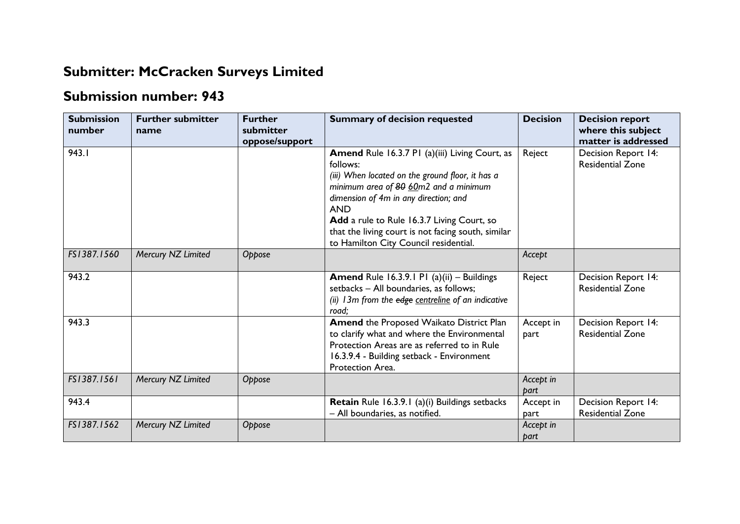## **Submitter: McCracken Surveys Limited**

## **Submission number: 943**

| <b>Submission</b><br>number | <b>Further submitter</b><br>name | <b>Further</b><br>submitter<br>oppose/support | <b>Summary of decision requested</b>                                                                                                                                                                                                                                                                                                                               | <b>Decision</b>   | <b>Decision report</b><br>where this subject<br>matter is addressed |
|-----------------------------|----------------------------------|-----------------------------------------------|--------------------------------------------------------------------------------------------------------------------------------------------------------------------------------------------------------------------------------------------------------------------------------------------------------------------------------------------------------------------|-------------------|---------------------------------------------------------------------|
| 943.1                       |                                  |                                               | <b>Amend Rule 16.3.7 P1 (a)(iii) Living Court, as</b><br>follows:<br>(iii) When located on the ground floor, it has a<br>minimum area of 80 60m2 and a minimum<br>dimension of 4m in any direction; and<br><b>AND</b><br>Add a rule to Rule 16.3.7 Living Court, so<br>that the living court is not facing south, similar<br>to Hamilton City Council residential. | Reject            | Decision Report 14:<br><b>Residential Zone</b>                      |
| FS1387.1560                 | Mercury NZ Limited               | Oppose                                        |                                                                                                                                                                                                                                                                                                                                                                    | Accept            |                                                                     |
| 943.2                       |                                  |                                               | <b>Amend Rule 16.3.9.1 P1 (a)(ii) - Buildings</b><br>setbacks - All boundaries, as follows;<br>(ii) 13m from the edge centreline of an indicative<br>road;                                                                                                                                                                                                         | Reject            | Decision Report 14:<br><b>Residential Zone</b>                      |
| 943.3                       |                                  |                                               | Amend the Proposed Waikato District Plan<br>to clarify what and where the Environmental<br>Protection Areas are as referred to in Rule<br>16.3.9.4 - Building setback - Environment<br>Protection Area.                                                                                                                                                            | Accept in<br>part | Decision Report 14:<br><b>Residential Zone</b>                      |
| FS1387.1561                 | Mercury NZ Limited               | Oppose                                        |                                                                                                                                                                                                                                                                                                                                                                    | Accept in<br>bart |                                                                     |
| 943.4                       |                                  |                                               | Retain Rule 16.3.9.1 (a)(i) Buildings setbacks<br>- All boundaries, as notified.                                                                                                                                                                                                                                                                                   | Accept in<br>part | Decision Report 14:<br><b>Residential Zone</b>                      |
| FS1387.1562                 | Mercury NZ Limited               | Oppose                                        |                                                                                                                                                                                                                                                                                                                                                                    | Accept in<br>part |                                                                     |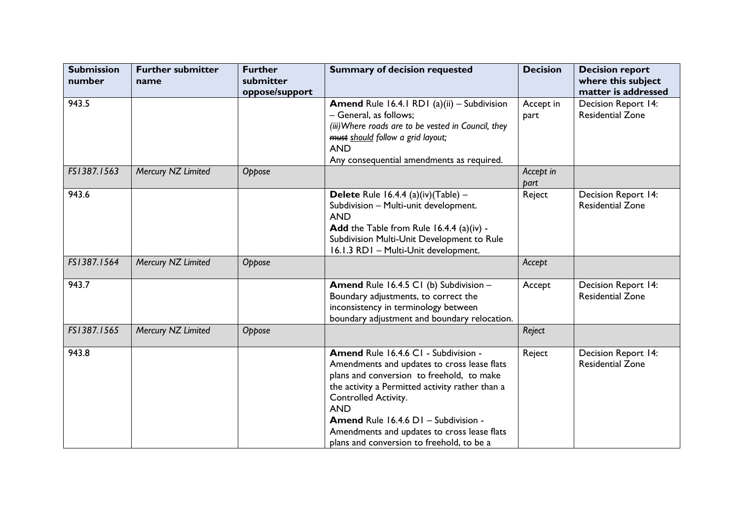| <b>Submission</b><br>number | <b>Further submitter</b><br>name | <b>Further</b><br>submitter<br>oppose/support | <b>Summary of decision requested</b>                                                                                                                                                                                                                                                                                                                          | <b>Decision</b>   | <b>Decision report</b><br>where this subject<br>matter is addressed |
|-----------------------------|----------------------------------|-----------------------------------------------|---------------------------------------------------------------------------------------------------------------------------------------------------------------------------------------------------------------------------------------------------------------------------------------------------------------------------------------------------------------|-------------------|---------------------------------------------------------------------|
| 943.5                       |                                  |                                               | Amend Rule 16.4.1 RD1 (a)(ii) - Subdivision<br>- General, as follows;<br>(iii) Where roads are to be vested in Council, they<br>must should follow a grid layout;<br><b>AND</b><br>Any consequential amendments as required.                                                                                                                                  | Accept in<br>part | Decision Report 14:<br><b>Residential Zone</b>                      |
| FS1387.1563                 | Mercury NZ Limited               | Oppose                                        |                                                                                                                                                                                                                                                                                                                                                               | Accept in<br>part |                                                                     |
| 943.6                       |                                  |                                               | Delete Rule 16.4.4 (a)(iv)(Table) $-$<br>Subdivision - Multi-unit development.<br><b>AND</b><br>Add the Table from Rule 16.4.4 (a)(iv) -<br>Subdivision Multi-Unit Development to Rule<br>16.1.3 RD1 - Multi-Unit development.                                                                                                                                | Reject            | Decision Report 14:<br><b>Residential Zone</b>                      |
| FS1387.1564                 | Mercury NZ Limited               | Oppose                                        |                                                                                                                                                                                                                                                                                                                                                               | Accept            |                                                                     |
| 943.7                       |                                  |                                               | Amend Rule 16.4.5 C1 (b) Subdivision -<br>Boundary adjustments, to correct the<br>inconsistency in terminology between<br>boundary adjustment and boundary relocation.                                                                                                                                                                                        | Accept            | Decision Report 14:<br><b>Residential Zone</b>                      |
| FS1387.1565                 | Mercury NZ Limited               | Oppose                                        |                                                                                                                                                                                                                                                                                                                                                               | Reject            |                                                                     |
| 943.8                       |                                  |                                               | Amend Rule 16.4.6 C1 - Subdivision -<br>Amendments and updates to cross lease flats<br>plans and conversion to freehold, to make<br>the activity a Permitted activity rather than a<br>Controlled Activity.<br><b>AND</b><br>Amend Rule 16.4.6 D1 - Subdivision -<br>Amendments and updates to cross lease flats<br>plans and conversion to freehold, to be a | Reject            | Decision Report 14:<br><b>Residential Zone</b>                      |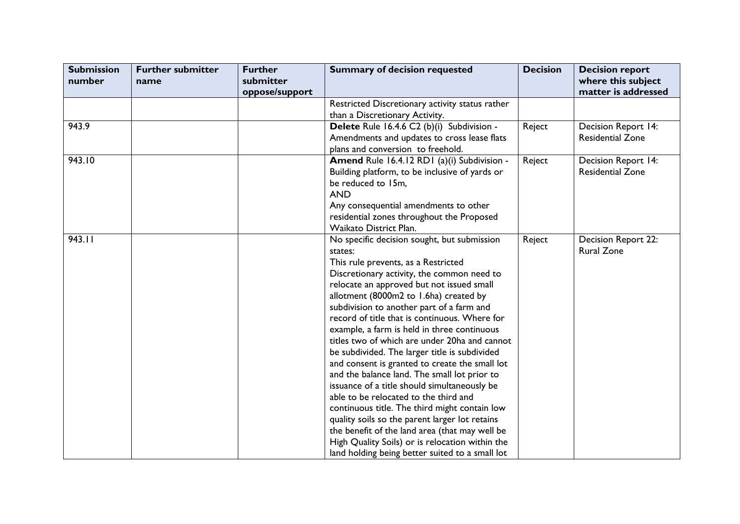| <b>Submission</b> | <b>Further submitter</b> | <b>Further</b> | <b>Summary of decision requested</b>                                                           | <b>Decision</b> | <b>Decision report</b>  |
|-------------------|--------------------------|----------------|------------------------------------------------------------------------------------------------|-----------------|-------------------------|
| number            | name                     | submitter      |                                                                                                |                 | where this subject      |
|                   |                          | oppose/support | Restricted Discretionary activity status rather                                                |                 | matter is addressed     |
|                   |                          |                | than a Discretionary Activity.                                                                 |                 |                         |
| 943.9             |                          |                | Delete Rule 16.4.6 C2 (b)(i) Subdivision -                                                     | Reject          | Decision Report 14:     |
|                   |                          |                | Amendments and updates to cross lease flats                                                    |                 | <b>Residential Zone</b> |
|                   |                          |                | plans and conversion to freehold.                                                              |                 |                         |
| 943.10            |                          |                | Amend Rule 16.4.12 RD1 (a)(i) Subdivision -                                                    | Reject          | Decision Report 14:     |
|                   |                          |                | Building platform, to be inclusive of yards or                                                 |                 | <b>Residential Zone</b> |
|                   |                          |                | be reduced to 15m,                                                                             |                 |                         |
|                   |                          |                | <b>AND</b>                                                                                     |                 |                         |
|                   |                          |                | Any consequential amendments to other                                                          |                 |                         |
|                   |                          |                | residential zones throughout the Proposed                                                      |                 |                         |
|                   |                          |                | Waikato District Plan.                                                                         |                 |                         |
| 943.11            |                          |                | No specific decision sought, but submission                                                    | Reject          | Decision Report 22:     |
|                   |                          |                | states:                                                                                        |                 | <b>Rural Zone</b>       |
|                   |                          |                | This rule prevents, as a Restricted                                                            |                 |                         |
|                   |                          |                | Discretionary activity, the common need to                                                     |                 |                         |
|                   |                          |                | relocate an approved but not issued small                                                      |                 |                         |
|                   |                          |                | allotment (8000m2 to 1.6ha) created by                                                         |                 |                         |
|                   |                          |                | subdivision to another part of a farm and                                                      |                 |                         |
|                   |                          |                | record of title that is continuous. Where for                                                  |                 |                         |
|                   |                          |                | example, a farm is held in three continuous                                                    |                 |                         |
|                   |                          |                | titles two of which are under 20ha and cannot                                                  |                 |                         |
|                   |                          |                | be subdivided. The larger title is subdivided                                                  |                 |                         |
|                   |                          |                | and consent is granted to create the small lot<br>and the balance land. The small lot prior to |                 |                         |
|                   |                          |                | issuance of a title should simultaneously be                                                   |                 |                         |
|                   |                          |                | able to be relocated to the third and                                                          |                 |                         |
|                   |                          |                | continuous title. The third might contain low                                                  |                 |                         |
|                   |                          |                | quality soils so the parent larger lot retains                                                 |                 |                         |
|                   |                          |                | the benefit of the land area (that may well be                                                 |                 |                         |
|                   |                          |                | High Quality Soils) or is relocation within the                                                |                 |                         |
|                   |                          |                | land holding being better suited to a small lot                                                |                 |                         |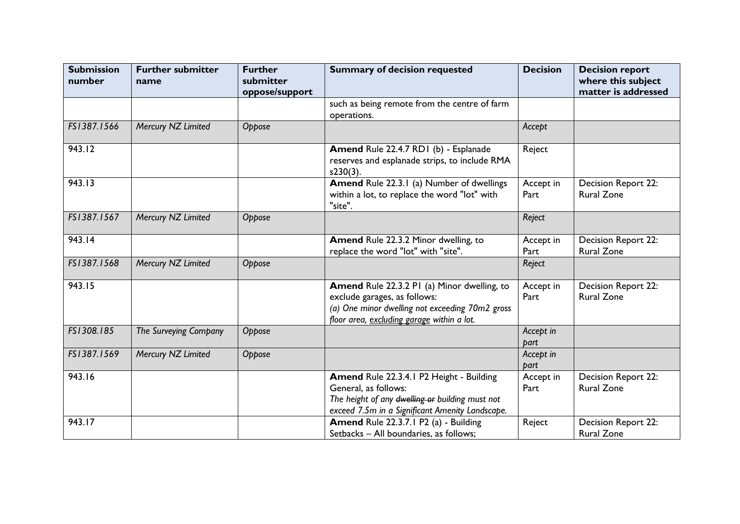| <b>Submission</b><br>number | <b>Further submitter</b><br>name | <b>Further</b><br>submitter<br>oppose/support | <b>Summary of decision requested</b>                                                                                                                                         | <b>Decision</b>   | <b>Decision report</b><br>where this subject<br>matter is addressed |
|-----------------------------|----------------------------------|-----------------------------------------------|------------------------------------------------------------------------------------------------------------------------------------------------------------------------------|-------------------|---------------------------------------------------------------------|
|                             |                                  |                                               | such as being remote from the centre of farm<br>operations.                                                                                                                  |                   |                                                                     |
| FS1387.1566                 | Mercury NZ Limited               | Oppose                                        |                                                                                                                                                                              | Accept            |                                                                     |
| 943.12                      |                                  |                                               | Amend Rule 22.4.7 RD1 (b) - Esplanade<br>reserves and esplanade strips, to include RMA<br>$s230(3)$ .                                                                        | Reject            |                                                                     |
| 943.13                      |                                  |                                               | Amend Rule 22.3.1 (a) Number of dwellings<br>within a lot, to replace the word "lot" with<br>"site".                                                                         | Accept in<br>Part | Decision Report 22:<br><b>Rural Zone</b>                            |
| FS1387.1567                 | Mercury NZ Limited               | Oppose                                        |                                                                                                                                                                              | Reject            |                                                                     |
| 943.14                      |                                  |                                               | Amend Rule 22.3.2 Minor dwelling, to<br>replace the word "lot" with "site".                                                                                                  | Accept in<br>Part | Decision Report 22:<br><b>Rural Zone</b>                            |
| FS1387.1568                 | Mercury NZ Limited               | Oppose                                        |                                                                                                                                                                              | Reject            |                                                                     |
| 943.15                      |                                  |                                               | Amend Rule 22.3.2 PI (a) Minor dwelling, to<br>exclude garages, as follows:<br>(a) One minor dwelling not exceeding 70m2 gross<br>floor area, excluding garage within a lot. | Accept in<br>Part | Decision Report 22:<br><b>Rural Zone</b>                            |
| FS1308.185                  | The Surveying Company            | Oppose                                        |                                                                                                                                                                              | Accept in<br>part |                                                                     |
| FS1387.1569                 | Mercury NZ Limited               | Oppose                                        |                                                                                                                                                                              | Accept in<br>part |                                                                     |
| 943.16                      |                                  |                                               | Amend Rule 22.3.4.1 P2 Height - Building<br>General, as follows:<br>The height of any dwelling or building must not<br>exceed 7.5m in a Significant Amenity Landscape.       | Accept in<br>Part | Decision Report 22:<br><b>Rural Zone</b>                            |
| 943.17                      |                                  |                                               | Amend Rule 22.3.7.1 P2 (a) - Building<br>Setbacks - All boundaries, as follows;                                                                                              | Reject            | Decision Report 22:<br><b>Rural Zone</b>                            |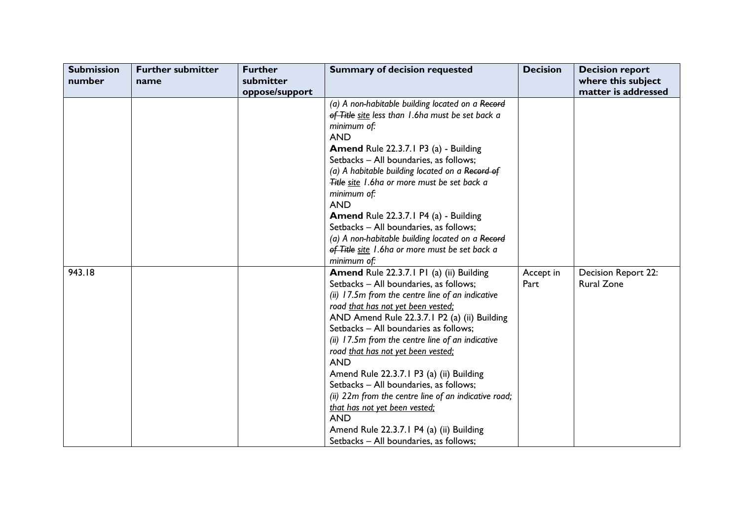| <b>Submission</b><br>number | <b>Further submitter</b><br>name | <b>Further</b><br>submitter<br>oppose/support | <b>Summary of decision requested</b>                                                                                                                                                                                                                                                                                                                                                                                                                                                                                                                                                                                                                             | <b>Decision</b>   | <b>Decision report</b><br>where this subject<br>matter is addressed |
|-----------------------------|----------------------------------|-----------------------------------------------|------------------------------------------------------------------------------------------------------------------------------------------------------------------------------------------------------------------------------------------------------------------------------------------------------------------------------------------------------------------------------------------------------------------------------------------------------------------------------------------------------------------------------------------------------------------------------------------------------------------------------------------------------------------|-------------------|---------------------------------------------------------------------|
|                             |                                  |                                               | (a) A non-habitable building located on a Record<br>of Title site less than 1.6ha must be set back a<br>minimum of:<br><b>AND</b><br><b>Amend Rule 22.3.7.1 P3 (a) - Building</b><br>Setbacks - All boundaries, as follows;<br>(a) A habitable building located on a Record of<br>Title site 1.6ha or more must be set back a<br>minimum of:<br><b>AND</b><br><b>Amend Rule 22.3.7.1 P4 (a) - Building</b><br>Setbacks - All boundaries, as follows;<br>(a) A non-habitable building located on a Record<br>of Title site 1.6ha or more must be set back a<br>minimum of:                                                                                        |                   |                                                                     |
| 943.18                      |                                  |                                               | Amend Rule 22.3.7.1 P1 (a) (ii) Building<br>Setbacks - All boundaries, as follows;<br>(ii) 17.5m from the centre line of an indicative<br>road that has not yet been vested:<br>AND Amend Rule 22.3.7.1 P2 (a) (ii) Building<br>Setbacks - All boundaries as follows;<br>(ii) 17.5m from the centre line of an indicative<br>road that has not yet been vested:<br><b>AND</b><br>Amend Rule 22.3.7.1 P3 (a) (ii) Building<br>Setbacks - All boundaries, as follows;<br>(ii) 22m from the centre line of an indicative road;<br>that has not yet been vested;<br><b>AND</b><br>Amend Rule 22.3.7.1 P4 (a) (ii) Building<br>Setbacks - All boundaries, as follows; | Accept in<br>Part | Decision Report 22:<br><b>Rural Zone</b>                            |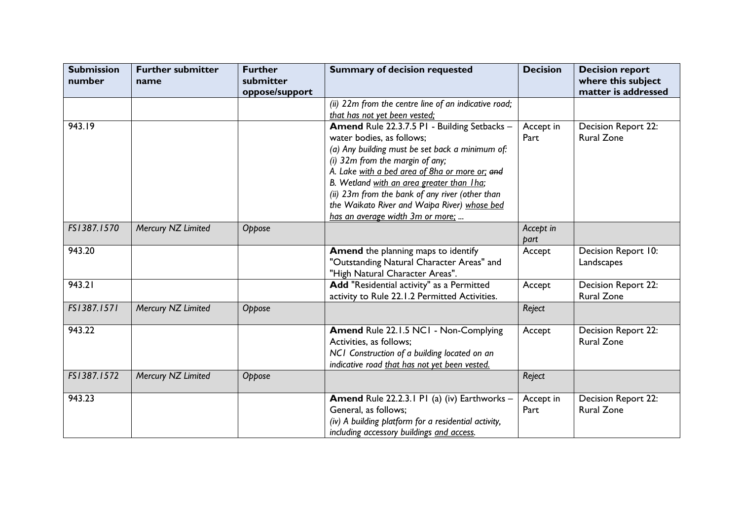| <b>Submission</b><br>number | <b>Further submitter</b><br>name | <b>Further</b><br>submitter<br>oppose/support | <b>Summary of decision requested</b>                                                                                                                                                                                                                                                                                                                                                                   | <b>Decision</b>   | <b>Decision report</b><br>where this subject<br>matter is addressed |
|-----------------------------|----------------------------------|-----------------------------------------------|--------------------------------------------------------------------------------------------------------------------------------------------------------------------------------------------------------------------------------------------------------------------------------------------------------------------------------------------------------------------------------------------------------|-------------------|---------------------------------------------------------------------|
|                             |                                  |                                               | (ii) 22m from the centre line of an indicative road;<br>that has not yet been vested:                                                                                                                                                                                                                                                                                                                  |                   |                                                                     |
| 943.19                      |                                  |                                               | Amend Rule 22.3.7.5 PI - Building Setbacks -<br>water bodies, as follows;<br>(a) Any building must be set back a minimum of:<br>(i) 32m from the margin of any;<br>A. Lake with a bed area of 8ha or more or; and<br>B. Wetland with an area greater than I ha;<br>(ii) 23m from the bank of any river (other than<br>the Waikato River and Waipa River) whose bed<br>has an average width 3m or more; | Accept in<br>Part | Decision Report 22:<br><b>Rural Zone</b>                            |
| FS1387.1570                 | Mercury NZ Limited               | Oppose                                        |                                                                                                                                                                                                                                                                                                                                                                                                        | Accept in<br>part |                                                                     |
| 943.20                      |                                  |                                               | Amend the planning maps to identify<br>"Outstanding Natural Character Areas" and<br>"High Natural Character Areas".                                                                                                                                                                                                                                                                                    | Accept            | Decision Report 10:<br>Landscapes                                   |
| 943.21                      |                                  |                                               | Add "Residential activity" as a Permitted<br>activity to Rule 22.1.2 Permitted Activities.                                                                                                                                                                                                                                                                                                             | Accept            | Decision Report 22:<br><b>Rural Zone</b>                            |
| FS1387.1571                 | Mercury NZ Limited               | Oppose                                        |                                                                                                                                                                                                                                                                                                                                                                                                        | Reject            |                                                                     |
| 943.22                      |                                  |                                               | Amend Rule 22.1.5 NC1 - Non-Complying<br>Activities, as follows;<br>NCI Construction of a building located on an<br>indicative road that has not yet been vested.                                                                                                                                                                                                                                      | Accept            | Decision Report 22:<br><b>Rural Zone</b>                            |
| FS1387.1572                 | Mercury NZ Limited               | Oppose                                        |                                                                                                                                                                                                                                                                                                                                                                                                        | Reject            |                                                                     |
| 943.23                      |                                  |                                               | Amend Rule 22.2.3.1 PI (a) (iv) Earthworks -<br>General, as follows;<br>(iv) A building platform for a residential activity,<br>including accessory buildings and access.                                                                                                                                                                                                                              | Accept in<br>Part | Decision Report 22:<br><b>Rural Zone</b>                            |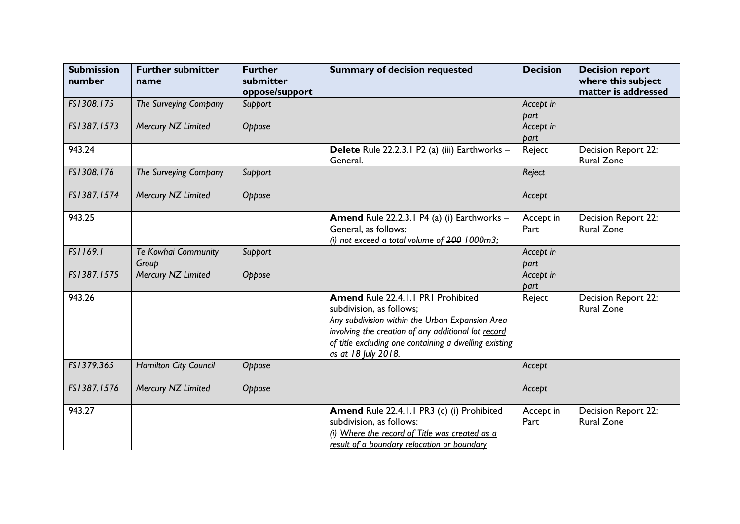| <b>Submission</b><br>number | <b>Further submitter</b><br>name | <b>Further</b><br>submitter<br>oppose/support | <b>Summary of decision requested</b>                                                                                                                                                                                                                     | <b>Decision</b>   | <b>Decision report</b><br>where this subject<br>matter is addressed |
|-----------------------------|----------------------------------|-----------------------------------------------|----------------------------------------------------------------------------------------------------------------------------------------------------------------------------------------------------------------------------------------------------------|-------------------|---------------------------------------------------------------------|
| FS1308.175                  | The Surveying Company            | Support                                       |                                                                                                                                                                                                                                                          | Accept in<br>part |                                                                     |
| FS1387.1573                 | Mercury NZ Limited               | Oppose                                        |                                                                                                                                                                                                                                                          | Accept in<br>part |                                                                     |
| 943.24                      |                                  |                                               | Delete Rule 22.2.3.1 P2 (a) (iii) Earthworks -<br>General.                                                                                                                                                                                               | Reject            | Decision Report 22:<br><b>Rural Zone</b>                            |
| FS1308.176                  | The Surveying Company            | Support                                       |                                                                                                                                                                                                                                                          | Reject            |                                                                     |
| FS1387.1574                 | Mercury NZ Limited               | Oppose                                        |                                                                                                                                                                                                                                                          | Accept            |                                                                     |
| 943.25                      |                                  |                                               | Amend Rule 22.2.3.1 P4 (a) (i) Earthworks -<br>General, as follows:<br>(i) not exceed a total volume of $200$ 1000m3;                                                                                                                                    | Accept in<br>Part | Decision Report 22:<br><b>Rural Zone</b>                            |
| FS1169.1                    | Te Kowhai Community<br>Group     | Support                                       |                                                                                                                                                                                                                                                          | Accept in<br>part |                                                                     |
| FS1387.1575                 | Mercury NZ Limited               | Oppose                                        |                                                                                                                                                                                                                                                          | Accept in<br>part |                                                                     |
| 943.26                      |                                  |                                               | Amend Rule 22.4.1.1 PR1 Prohibited<br>subdivision, as follows;<br>Any subdivision within the Urban Expansion Area<br>involving the creation of any additional lot record<br>of title excluding one containing a dwelling existing<br>as at 18 July 2018. | Reject            | Decision Report 22:<br><b>Rural Zone</b>                            |
| FS1379.365                  | Hamilton City Council            | Oppose                                        |                                                                                                                                                                                                                                                          | Accept            |                                                                     |
| FS1387.1576                 | Mercury NZ Limited               | Oppose                                        |                                                                                                                                                                                                                                                          | Accept            |                                                                     |
| 943.27                      |                                  |                                               | Amend Rule 22.4.1.1 PR3 (c) (i) Prohibited<br>subdivision, as follows:<br>(i) Where the record of Title was created as a<br>result of a boundary relocation or boundary                                                                                  | Accept in<br>Part | Decision Report 22:<br><b>Rural Zone</b>                            |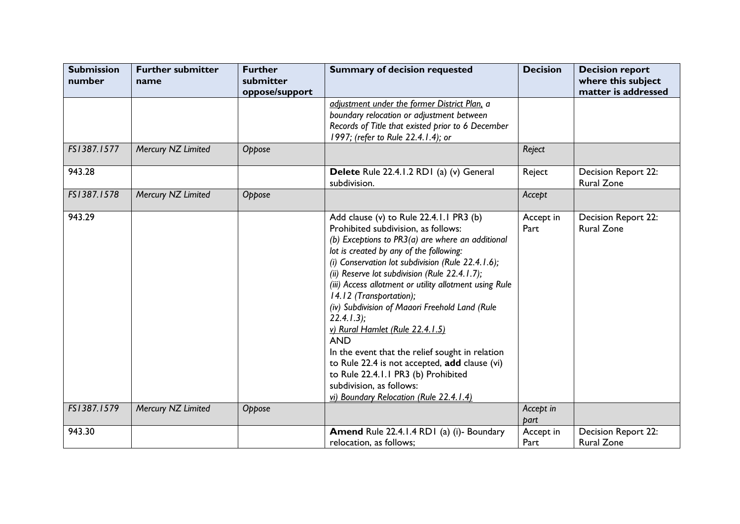| <b>Submission</b><br>number | <b>Further submitter</b><br>name | <b>Further</b><br>submitter | <b>Summary of decision requested</b>                                                                                                                                                                                                                                                                                                                                                                                                                                                                                                                                                                                                                                                                          | <b>Decision</b>   | <b>Decision report</b><br>where this subject |
|-----------------------------|----------------------------------|-----------------------------|---------------------------------------------------------------------------------------------------------------------------------------------------------------------------------------------------------------------------------------------------------------------------------------------------------------------------------------------------------------------------------------------------------------------------------------------------------------------------------------------------------------------------------------------------------------------------------------------------------------------------------------------------------------------------------------------------------------|-------------------|----------------------------------------------|
|                             |                                  | oppose/support              |                                                                                                                                                                                                                                                                                                                                                                                                                                                                                                                                                                                                                                                                                                               |                   | matter is addressed                          |
|                             |                                  |                             | adjustment under the former District Plan, a<br>boundary relocation or adjustment between<br>Records of Title that existed prior to 6 December<br>1997; (refer to Rule 22.4.1.4); or                                                                                                                                                                                                                                                                                                                                                                                                                                                                                                                          |                   |                                              |
| FS1387.1577                 | Mercury NZ Limited               | Oppose                      |                                                                                                                                                                                                                                                                                                                                                                                                                                                                                                                                                                                                                                                                                                               | Reject            |                                              |
| 943.28                      |                                  |                             | Delete Rule 22.4.1.2 RD1 (a) (v) General<br>subdivision.                                                                                                                                                                                                                                                                                                                                                                                                                                                                                                                                                                                                                                                      | Reject            | Decision Report 22:<br><b>Rural Zone</b>     |
| FS1387.1578                 | Mercury NZ Limited               | Oppose                      |                                                                                                                                                                                                                                                                                                                                                                                                                                                                                                                                                                                                                                                                                                               | Accept            |                                              |
| 943.29                      |                                  |                             | Add clause (v) to Rule 22.4.1.1 PR3 (b)<br>Prohibited subdivision, as follows:<br>(b) Exceptions to PR3(a) are where an additional<br>lot is created by any of the following:<br>(i) Conservation lot subdivision (Rule 22.4.1.6);<br>(ii) Reserve lot subdivision (Rule 22.4.1.7);<br>(iii) Access allotment or utility allotment using Rule<br>14.12 (Transportation);<br>(iv) Subdivision of Maaori Freehold Land (Rule<br>$22.4.1.3$ ;<br>v) Rural Hamlet (Rule 22.4.1.5)<br><b>AND</b><br>In the event that the relief sought in relation<br>to Rule 22.4 is not accepted, add clause (vi)<br>to Rule 22.4.1.1 PR3 (b) Prohibited<br>subdivision, as follows:<br>vi) Boundary Relocation (Rule 22.4.1.4) | Accept in<br>Part | Decision Report 22:<br><b>Rural Zone</b>     |
| FS1387.1579                 | Mercury NZ Limited               | Oppose                      |                                                                                                                                                                                                                                                                                                                                                                                                                                                                                                                                                                                                                                                                                                               | Accept in<br>part |                                              |
| 943.30                      |                                  |                             | Amend Rule 22.4.1.4 RD1 (a) (i)- Boundary<br>relocation, as follows;                                                                                                                                                                                                                                                                                                                                                                                                                                                                                                                                                                                                                                          | Accept in<br>Part | Decision Report 22:<br><b>Rural Zone</b>     |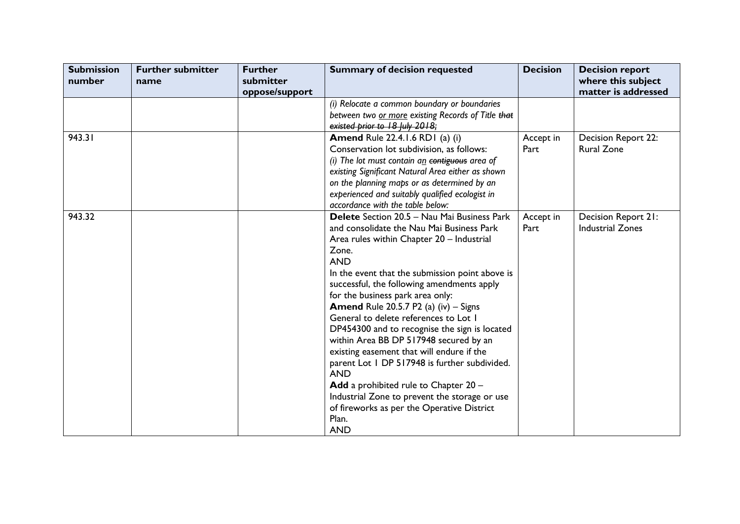| <b>Submission</b><br>number | <b>Further submitter</b><br>name | <b>Further</b><br>submitter<br>oppose/support | <b>Summary of decision requested</b>                                                                                                                                                                                                                                                                                                                                                                                                                                                                                                                                                                                                                                                                                                                                      | <b>Decision</b>   | <b>Decision report</b><br>where this subject<br>matter is addressed |
|-----------------------------|----------------------------------|-----------------------------------------------|---------------------------------------------------------------------------------------------------------------------------------------------------------------------------------------------------------------------------------------------------------------------------------------------------------------------------------------------------------------------------------------------------------------------------------------------------------------------------------------------------------------------------------------------------------------------------------------------------------------------------------------------------------------------------------------------------------------------------------------------------------------------------|-------------------|---------------------------------------------------------------------|
|                             |                                  |                                               | (i) Relocate a common boundary or boundaries<br>between two or more existing Records of Title that<br>existed prior to 18 July 2018;                                                                                                                                                                                                                                                                                                                                                                                                                                                                                                                                                                                                                                      |                   |                                                                     |
| 943.31                      |                                  |                                               | <b>Amend Rule 22.4.1.6 RD1 (a) (i)</b><br>Conservation lot subdivision, as follows:<br>(i) The lot must contain $a_n$ contiguous area of<br>existing Significant Natural Area either as shown<br>on the planning maps or as determined by an<br>experienced and suitably qualified ecologist in<br>accordance with the table below:                                                                                                                                                                                                                                                                                                                                                                                                                                       | Accept in<br>Part | Decision Report 22:<br><b>Rural Zone</b>                            |
| 943.32                      |                                  |                                               | <b>Delete</b> Section 20.5 – Nau Mai Business Park<br>and consolidate the Nau Mai Business Park<br>Area rules within Chapter 20 - Industrial<br>Zone.<br><b>AND</b><br>In the event that the submission point above is<br>successful, the following amendments apply<br>for the business park area only:<br><b>Amend</b> Rule 20.5.7 P2 (a) (iv) $-$ Signs<br>General to delete references to Lot I<br>DP454300 and to recognise the sign is located<br>within Area BB DP 517948 secured by an<br>existing easement that will endure if the<br>parent Lot 1 DP 517948 is further subdivided.<br><b>AND</b><br>Add a prohibited rule to Chapter 20 -<br>Industrial Zone to prevent the storage or use<br>of fireworks as per the Operative District<br>Plan.<br><b>AND</b> | Accept in<br>Part | Decision Report 21:<br><b>Industrial Zones</b>                      |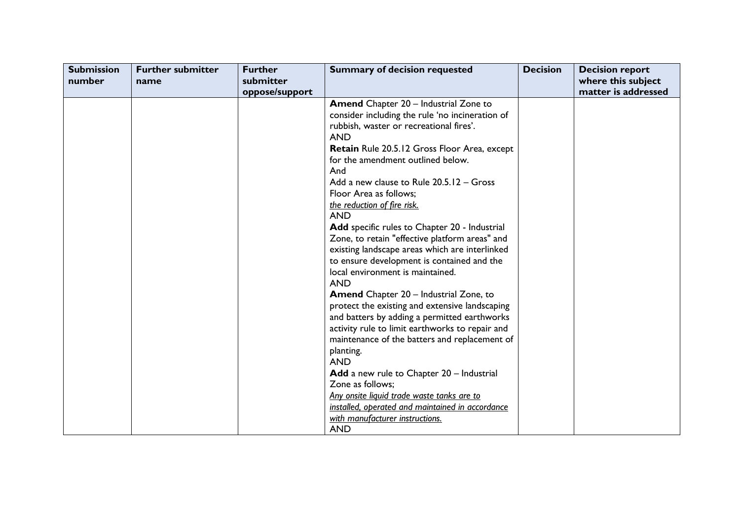| <b>Submission</b><br>number | <b>Further submitter</b><br>name | <b>Further</b><br>submitter | <b>Summary of decision requested</b>                                                                                                                                                                                                                                                                                                                                                                                                                                                                                                                                                                                                                                                                                                                                                                                                                                                                                                                                                                                                                                                                                               | <b>Decision</b> | <b>Decision report</b><br>where this subject<br>matter is addressed |
|-----------------------------|----------------------------------|-----------------------------|------------------------------------------------------------------------------------------------------------------------------------------------------------------------------------------------------------------------------------------------------------------------------------------------------------------------------------------------------------------------------------------------------------------------------------------------------------------------------------------------------------------------------------------------------------------------------------------------------------------------------------------------------------------------------------------------------------------------------------------------------------------------------------------------------------------------------------------------------------------------------------------------------------------------------------------------------------------------------------------------------------------------------------------------------------------------------------------------------------------------------------|-----------------|---------------------------------------------------------------------|
|                             |                                  | oppose/support              | <b>Amend</b> Chapter 20 - Industrial Zone to<br>consider including the rule 'no incineration of<br>rubbish, waster or recreational fires'.<br><b>AND</b><br>Retain Rule 20.5.12 Gross Floor Area, except<br>for the amendment outlined below.<br>And<br>Add a new clause to Rule 20.5.12 - Gross<br>Floor Area as follows;<br>the reduction of fire risk.<br><b>AND</b><br>Add specific rules to Chapter 20 - Industrial<br>Zone, to retain "effective platform areas" and<br>existing landscape areas which are interlinked<br>to ensure development is contained and the<br>local environment is maintained.<br><b>AND</b><br><b>Amend</b> Chapter 20 - Industrial Zone, to<br>protect the existing and extensive landscaping<br>and batters by adding a permitted earthworks<br>activity rule to limit earthworks to repair and<br>maintenance of the batters and replacement of<br>planting.<br><b>AND</b><br>Add a new rule to Chapter 20 - Industrial<br>Zone as follows;<br>Any onsite liquid trade waste tanks are to<br>installed, operated and maintained in accordance<br>with manufacturer instructions.<br><b>AND</b> |                 |                                                                     |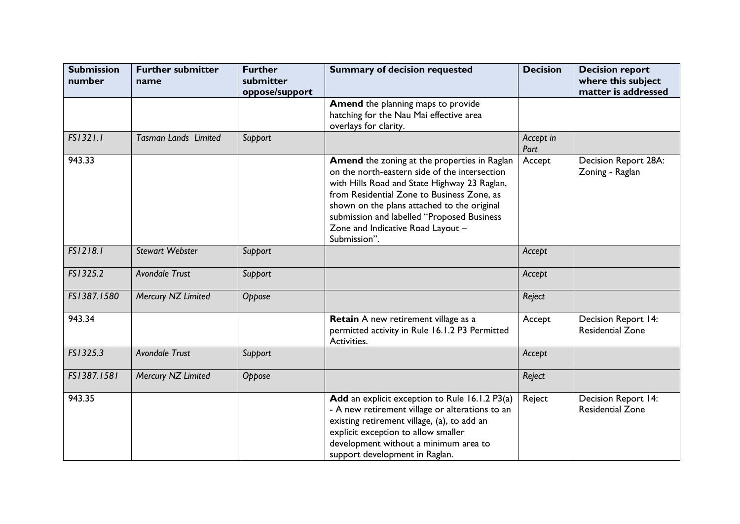| <b>Submission</b><br>number | <b>Further submitter</b><br>name | <b>Further</b><br>submitter<br>oppose/support | <b>Summary of decision requested</b>                                                                                                                                                                                                                                                                                                          | <b>Decision</b>   | <b>Decision report</b><br>where this subject<br>matter is addressed |
|-----------------------------|----------------------------------|-----------------------------------------------|-----------------------------------------------------------------------------------------------------------------------------------------------------------------------------------------------------------------------------------------------------------------------------------------------------------------------------------------------|-------------------|---------------------------------------------------------------------|
|                             |                                  |                                               | <b>Amend</b> the planning maps to provide<br>hatching for the Nau Mai effective area<br>overlays for clarity.                                                                                                                                                                                                                                 |                   |                                                                     |
| FS1321.1                    | <b>Tasman Lands Limited</b>      | Support                                       |                                                                                                                                                                                                                                                                                                                                               | Accept in<br>Part |                                                                     |
| 943.33                      |                                  |                                               | Amend the zoning at the properties in Raglan<br>on the north-eastern side of the intersection<br>with Hills Road and State Highway 23 Raglan,<br>from Residential Zone to Business Zone, as<br>shown on the plans attached to the original<br>submission and labelled "Proposed Business<br>Zone and Indicative Road Layout -<br>Submission". | Accept            | Decision Report 28A:<br>Zoning - Raglan                             |
| FS1218.1                    | <b>Stewart Webster</b>           | Support                                       |                                                                                                                                                                                                                                                                                                                                               | Accept            |                                                                     |
| FS1325.2                    | <b>Avondale Trust</b>            | Support                                       |                                                                                                                                                                                                                                                                                                                                               | Accept            |                                                                     |
| FS1387.1580                 | Mercury NZ Limited               | Oppose                                        |                                                                                                                                                                                                                                                                                                                                               | Reject            |                                                                     |
| 943.34                      |                                  |                                               | Retain A new retirement village as a<br>permitted activity in Rule 16.1.2 P3 Permitted<br>Activities.                                                                                                                                                                                                                                         | Accept            | Decision Report 14:<br><b>Residential Zone</b>                      |
| FS1325.3                    | Avondale Trust                   | Support                                       |                                                                                                                                                                                                                                                                                                                                               | Accept            |                                                                     |
| FS1387.1581                 | Mercury NZ Limited               | Oppose                                        |                                                                                                                                                                                                                                                                                                                                               | Reject            |                                                                     |
| 943.35                      |                                  |                                               | Add an explicit exception to Rule 16.1.2 P3(a)<br>- A new retirement village or alterations to an<br>existing retirement village, (a), to add an<br>explicit exception to allow smaller<br>development without a minimum area to<br>support development in Raglan.                                                                            | Reject            | Decision Report 14:<br><b>Residential Zone</b>                      |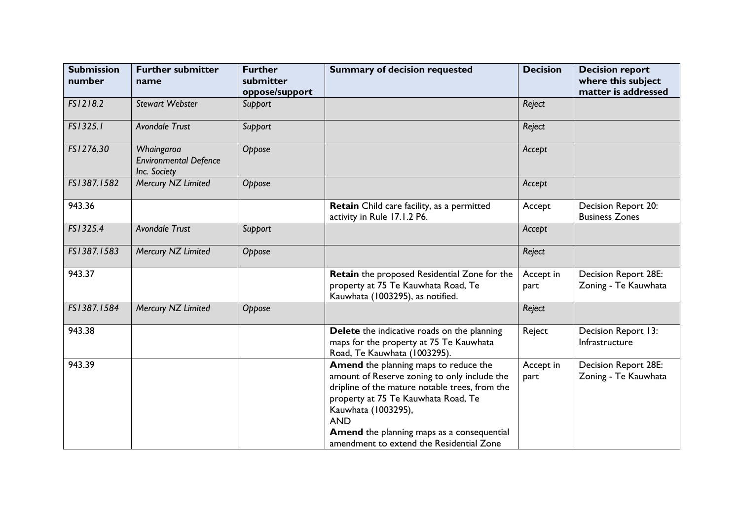| <b>Submission</b><br>number | <b>Further submitter</b><br>name                           | <b>Further</b><br>submitter<br>oppose/support | <b>Summary of decision requested</b>                                                                                                                                                                                                                                                                          | <b>Decision</b>   | <b>Decision report</b><br>where this subject<br>matter is addressed |
|-----------------------------|------------------------------------------------------------|-----------------------------------------------|---------------------------------------------------------------------------------------------------------------------------------------------------------------------------------------------------------------------------------------------------------------------------------------------------------------|-------------------|---------------------------------------------------------------------|
| FS1218.2                    | <b>Stewart Webster</b>                                     | Support                                       |                                                                                                                                                                                                                                                                                                               | Reject            |                                                                     |
| FS1325.1                    | Avondale Trust                                             | Support                                       |                                                                                                                                                                                                                                                                                                               | Reject            |                                                                     |
| FS1276.30                   | Whaingaroa<br><b>Environmental Defence</b><br>Inc. Society | Oppose                                        |                                                                                                                                                                                                                                                                                                               | Accept            |                                                                     |
| FS1387.1582                 | Mercury NZ Limited                                         | Oppose                                        |                                                                                                                                                                                                                                                                                                               | Accept            |                                                                     |
| 943.36                      |                                                            |                                               | Retain Child care facility, as a permitted<br>activity in Rule 17.1.2 P6.                                                                                                                                                                                                                                     | Accept            | Decision Report 20:<br><b>Business Zones</b>                        |
| FS1325.4                    | Avondale Trust                                             | Support                                       |                                                                                                                                                                                                                                                                                                               | Accept            |                                                                     |
| FS1387.1583                 | Mercury NZ Limited                                         | Oppose                                        |                                                                                                                                                                                                                                                                                                               | Reject            |                                                                     |
| 943.37                      |                                                            |                                               | Retain the proposed Residential Zone for the<br>property at 75 Te Kauwhata Road, Te<br>Kauwhata (1003295), as notified.                                                                                                                                                                                       | Accept in<br>part | <b>Decision Report 28E:</b><br>Zoning - Te Kauwhata                 |
| FS1387.1584                 | Mercury NZ Limited                                         | Oppose                                        |                                                                                                                                                                                                                                                                                                               | Reject            |                                                                     |
| 943.38                      |                                                            |                                               | Delete the indicative roads on the planning<br>maps for the property at 75 Te Kauwhata<br>Road, Te Kauwhata (1003295).                                                                                                                                                                                        | Reject            | Decision Report 13:<br>Infrastructure                               |
| 943.39                      |                                                            |                                               | Amend the planning maps to reduce the<br>amount of Reserve zoning to only include the<br>dripline of the mature notable trees, from the<br>property at 75 Te Kauwhata Road, Te<br>Kauwhata (1003295),<br><b>AND</b><br>Amend the planning maps as a consequential<br>amendment to extend the Residential Zone | Accept in<br>part | <b>Decision Report 28E:</b><br>Zoning - Te Kauwhata                 |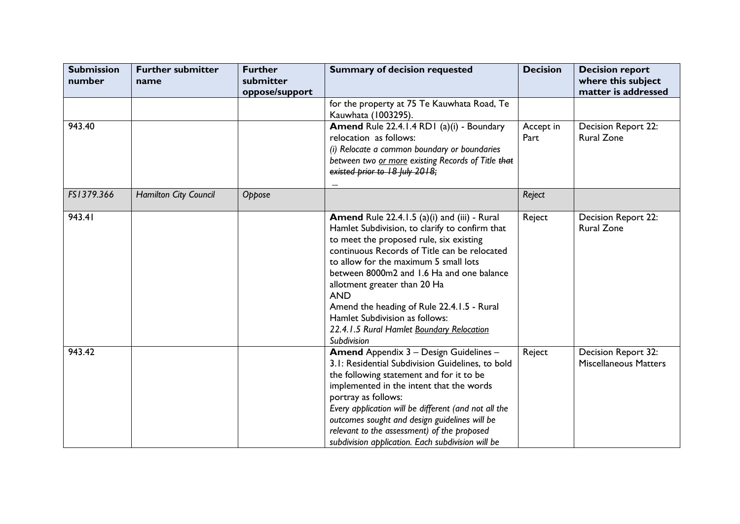| <b>Submission</b><br>number | <b>Further submitter</b><br>name | <b>Further</b><br>submitter<br>oppose/support | <b>Summary of decision requested</b>                                                                                                                                                                                                                                                                                                                                                                                                                                      | <b>Decision</b>   | <b>Decision report</b><br>where this subject<br>matter is addressed |
|-----------------------------|----------------------------------|-----------------------------------------------|---------------------------------------------------------------------------------------------------------------------------------------------------------------------------------------------------------------------------------------------------------------------------------------------------------------------------------------------------------------------------------------------------------------------------------------------------------------------------|-------------------|---------------------------------------------------------------------|
|                             |                                  |                                               | for the property at 75 Te Kauwhata Road, Te<br>Kauwhata (1003295).                                                                                                                                                                                                                                                                                                                                                                                                        |                   |                                                                     |
| 943.40                      |                                  |                                               | Amend Rule 22.4.1.4 RD1 (a)(i) - Boundary<br>relocation as follows:<br>(i) Relocate a common boundary or boundaries<br>between two or more existing Records of Title that<br>existed prior to 18 July 2018;                                                                                                                                                                                                                                                               | Accept in<br>Part | Decision Report 22:<br><b>Rural Zone</b>                            |
| FS1379.366                  | Hamilton City Council            | Oppose                                        |                                                                                                                                                                                                                                                                                                                                                                                                                                                                           | Reject            |                                                                     |
| 943.41                      |                                  |                                               | Amend Rule 22.4.1.5 (a)(i) and (iii) - Rural<br>Hamlet Subdivision, to clarify to confirm that<br>to meet the proposed rule, six existing<br>continuous Records of Title can be relocated<br>to allow for the maximum 5 small lots<br>between 8000m2 and 1.6 Ha and one balance<br>allotment greater than 20 Ha<br><b>AND</b><br>Amend the heading of Rule 22.4.1.5 - Rural<br>Hamlet Subdivision as follows:<br>22.4.1.5 Rural Hamlet Boundary Relocation<br>Subdivision | Reject            | Decision Report 22:<br><b>Rural Zone</b>                            |
| 943.42                      |                                  |                                               | Amend Appendix 3 - Design Guidelines -<br>3.1: Residential Subdivision Guidelines, to bold<br>the following statement and for it to be<br>implemented in the intent that the words<br>portray as follows:<br>Every application will be different (and not all the<br>outcomes sought and design guidelines will be<br>relevant to the assessment) of the proposed<br>subdivision application. Each subdivision will be                                                    | Reject            | Decision Report 32:<br><b>Miscellaneous Matters</b>                 |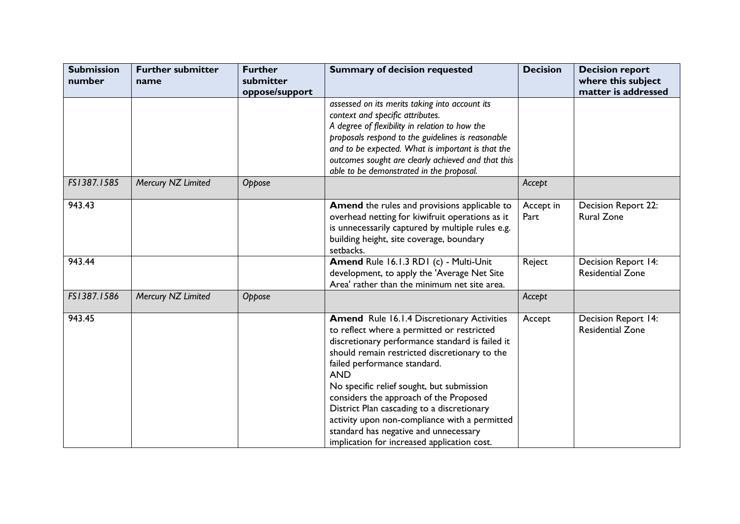| <b>Submission</b><br>number | <b>Further submitter</b><br>name | <b>Further</b><br>submitter<br>oppose/support | <b>Summary of decision requested</b>                                                                                                                                                                                                                                                                                                                                                                                                                                                                                            | <b>Decision</b>   | <b>Decision report</b><br>where this subject<br>matter is addressed |
|-----------------------------|----------------------------------|-----------------------------------------------|---------------------------------------------------------------------------------------------------------------------------------------------------------------------------------------------------------------------------------------------------------------------------------------------------------------------------------------------------------------------------------------------------------------------------------------------------------------------------------------------------------------------------------|-------------------|---------------------------------------------------------------------|
|                             |                                  |                                               | assessed on its merits taking into account its<br>context and specific attributes.<br>A degree of flexibility in relation to how the<br>proposals respond to the guidelines is reasonable<br>and to be expected. What is important is that the<br>outcomes sought are clearly achieved and that this<br>able to be demonstrated in the proposal.                                                                                                                                                                                |                   |                                                                     |
| FS1387.1585                 | Mercury NZ Limited               | Oppose                                        |                                                                                                                                                                                                                                                                                                                                                                                                                                                                                                                                 | Accept            |                                                                     |
| 943.43                      |                                  |                                               | Amend the rules and provisions applicable to<br>overhead netting for kiwifruit operations as it<br>is unnecessarily captured by multiple rules e.g.<br>building height, site coverage, boundary<br>setbacks.                                                                                                                                                                                                                                                                                                                    | Accept in<br>Part | Decision Report 22:<br><b>Rural Zone</b>                            |
| 943.44                      |                                  |                                               | Amend Rule 16.1.3 RD1 (c) - Multi-Unit<br>development, to apply the 'Average Net Site<br>Area' rather than the minimum net site area.                                                                                                                                                                                                                                                                                                                                                                                           | Reject            | Decision Report 14:<br><b>Residential Zone</b>                      |
| FS1387.1586                 | Mercury NZ Limited               | Oppose                                        |                                                                                                                                                                                                                                                                                                                                                                                                                                                                                                                                 | Accept            |                                                                     |
| 943.45                      |                                  |                                               | <b>Amend</b> Rule 16.1.4 Discretionary Activities<br>to reflect where a permitted or restricted<br>discretionary performance standard is failed it<br>should remain restricted discretionary to the<br>failed performance standard.<br><b>AND</b><br>No specific relief sought, but submission<br>considers the approach of the Proposed<br>District Plan cascading to a discretionary<br>activity upon non-compliance with a permitted<br>standard has negative and unnecessary<br>implication for increased application cost. | Accept            | Decision Report 14:<br><b>Residential Zone</b>                      |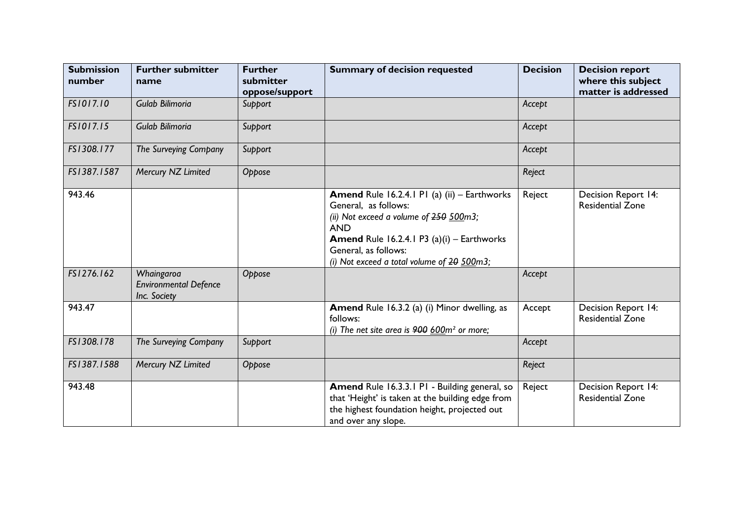| <b>Submission</b><br>number | <b>Further submitter</b><br>name                           | <b>Further</b><br>submitter<br>oppose/support | <b>Summary of decision requested</b>                                                                                                                                                                                                                                | <b>Decision</b> | <b>Decision report</b><br>where this subject<br>matter is addressed |
|-----------------------------|------------------------------------------------------------|-----------------------------------------------|---------------------------------------------------------------------------------------------------------------------------------------------------------------------------------------------------------------------------------------------------------------------|-----------------|---------------------------------------------------------------------|
| FS1017.10                   | Gulab Bilimoria                                            | Support                                       |                                                                                                                                                                                                                                                                     | Accept          |                                                                     |
| FS1017.15                   | Gulab Bilimoria                                            | Support                                       |                                                                                                                                                                                                                                                                     | Accept          |                                                                     |
| FS1308.177                  | The Surveying Company                                      | Support                                       |                                                                                                                                                                                                                                                                     | Accept          |                                                                     |
| FS1387.1587                 | Mercury NZ Limited                                         | Oppose                                        |                                                                                                                                                                                                                                                                     | Reject          |                                                                     |
| 943.46                      |                                                            |                                               | <b>Amend Rule 16.2.4.1 P1 (a) (ii) - Earthworks</b><br>General, as follows:<br>(ii) Not exceed a volume of 250 500m3;<br><b>AND</b><br><b>Amend Rule 16.2.4.1 P3 (a)(i) - Earthworks</b><br>General, as follows:<br>(i) Not exceed a total volume of $20$ $500$ m3; | Reject          | Decision Report 14:<br><b>Residential Zone</b>                      |
| FS1276.162                  | Whaingaroa<br><b>Environmental Defence</b><br>Inc. Society | Oppose                                        |                                                                                                                                                                                                                                                                     | Accept          |                                                                     |
| 943.47                      |                                                            |                                               | Amend Rule 16.3.2 (a) (i) Minor dwelling, as<br>follows:<br>(i) The net site area is $900 600m^2$ or more;                                                                                                                                                          | Accept          | Decision Report 14:<br><b>Residential Zone</b>                      |
| FS1308.178                  | The Surveying Company                                      | Support                                       |                                                                                                                                                                                                                                                                     | Accept          |                                                                     |
| FS1387.1588                 | Mercury NZ Limited                                         | Oppose                                        |                                                                                                                                                                                                                                                                     | Reject          |                                                                     |
| 943.48                      |                                                            |                                               | Amend Rule 16.3.3.1 P1 - Building general, so<br>that 'Height' is taken at the building edge from<br>the highest foundation height, projected out<br>and over any slope.                                                                                            | Reject          | <b>Decision Report 14:</b><br><b>Residential Zone</b>               |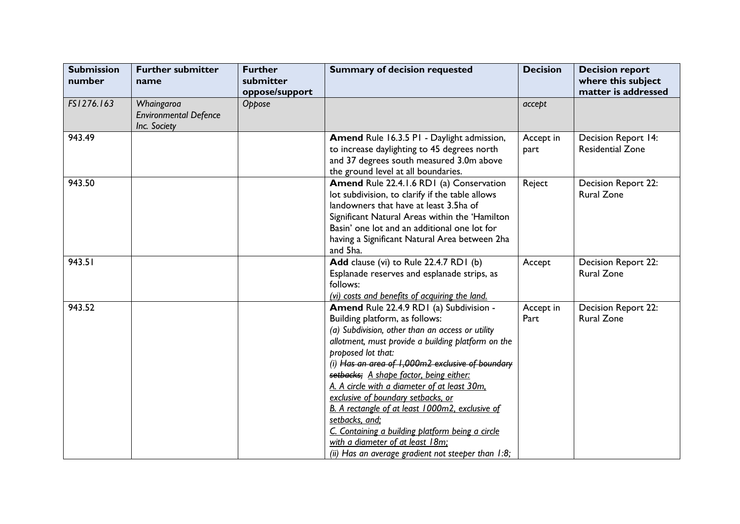| <b>Submission</b><br>number | <b>Further submitter</b><br>name                           | <b>Further</b><br>submitter<br>oppose/support | <b>Summary of decision requested</b>                                                                                                                                                                                                                                                                                                                                                                                                                                                                                                                                                                                 | <b>Decision</b>   | <b>Decision report</b><br>where this subject<br>matter is addressed |
|-----------------------------|------------------------------------------------------------|-----------------------------------------------|----------------------------------------------------------------------------------------------------------------------------------------------------------------------------------------------------------------------------------------------------------------------------------------------------------------------------------------------------------------------------------------------------------------------------------------------------------------------------------------------------------------------------------------------------------------------------------------------------------------------|-------------------|---------------------------------------------------------------------|
| FS1276.163                  | Whaingaroa<br><b>Environmental Defence</b><br>Inc. Society | Oppose                                        |                                                                                                                                                                                                                                                                                                                                                                                                                                                                                                                                                                                                                      | accept            |                                                                     |
| 943.49                      |                                                            |                                               | Amend Rule 16.3.5 P1 - Daylight admission,<br>to increase daylighting to 45 degrees north<br>and 37 degrees south measured 3.0m above<br>the ground level at all boundaries.                                                                                                                                                                                                                                                                                                                                                                                                                                         | Accept in<br>part | Decision Report 14:<br><b>Residential Zone</b>                      |
| 943.50                      |                                                            |                                               | Amend Rule 22.4.1.6 RD1 (a) Conservation<br>lot subdivision, to clarify if the table allows<br>landowners that have at least 3.5ha of<br>Significant Natural Areas within the 'Hamilton<br>Basin' one lot and an additional one lot for<br>having a Significant Natural Area between 2ha<br>and 5ha.                                                                                                                                                                                                                                                                                                                 | Reject            | Decision Report 22:<br><b>Rural Zone</b>                            |
| 943.51                      |                                                            |                                               | Add clause (vi) to Rule 22.4.7 RD1 (b)<br>Esplanade reserves and esplanade strips, as<br>follows:<br>(vi) costs and benefits of acquiring the land.                                                                                                                                                                                                                                                                                                                                                                                                                                                                  | Accept            | Decision Report 22:<br><b>Rural Zone</b>                            |
| 943.52                      |                                                            |                                               | Amend Rule 22.4.9 RD1 (a) Subdivision -<br>Building platform, as follows:<br>(a) Subdivision, other than an access or utility<br>allotment, must provide a building platform on the<br>proposed lot that:<br>(i) Has an area of 1,000m2 exclusive of boundary<br>setbacks; A shape factor, being either:<br>A. A circle with a diameter of at least 30m,<br>exclusive of boundary setbacks, or<br>B. A rectangle of at least 1000m2, exclusive of<br>setbacks, and;<br>C. Containing a building platform being a circle<br>with a diameter of at least 18m;<br>(ii) Has an average gradient not steeper than $1:8$ ; | Accept in<br>Part | Decision Report 22:<br><b>Rural Zone</b>                            |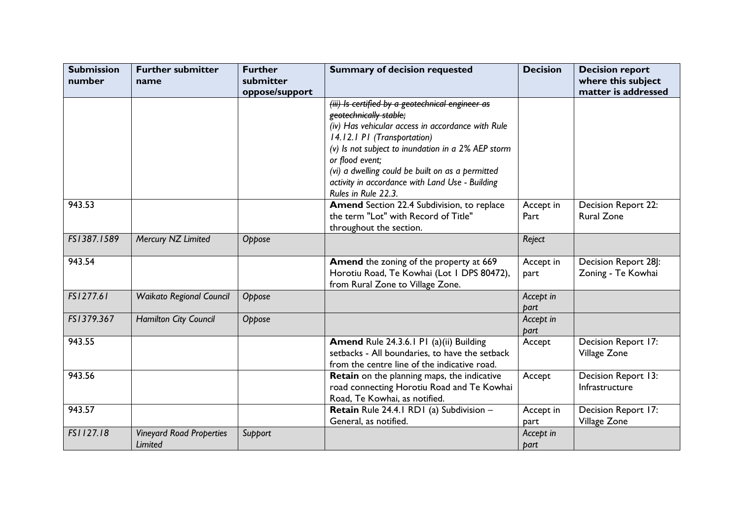| <b>Submission</b><br>number | <b>Further submitter</b><br>name           | <b>Further</b><br>submitter | <b>Summary of decision requested</b>                                                                                                                                                                                                                                                                                                                                  | <b>Decision</b>   | <b>Decision report</b><br>where this subject |
|-----------------------------|--------------------------------------------|-----------------------------|-----------------------------------------------------------------------------------------------------------------------------------------------------------------------------------------------------------------------------------------------------------------------------------------------------------------------------------------------------------------------|-------------------|----------------------------------------------|
|                             |                                            | oppose/support              |                                                                                                                                                                                                                                                                                                                                                                       |                   | matter is addressed                          |
|                             |                                            |                             | (iii) Is certified by a geotechnical engineer as<br>geotechnically stable;<br>(iv) Has vehicular access in accordance with Rule<br>14.12.1 PI (Transportation)<br>(v) Is not subject to inundation in a 2% AEP storm<br>or flood event;<br>(vi) a dwelling could be built on as a permitted<br>activity in accordance with Land Use - Building<br>Rules in Rule 22.3. |                   |                                              |
| 943.53                      |                                            |                             | Amend Section 22.4 Subdivision, to replace<br>the term "Lot" with Record of Title"<br>throughout the section.                                                                                                                                                                                                                                                         | Accept in<br>Part | Decision Report 22:<br><b>Rural Zone</b>     |
| FS1387.1589                 | Mercury NZ Limited                         | Oppose                      |                                                                                                                                                                                                                                                                                                                                                                       | Reject            |                                              |
| 943.54                      |                                            |                             | Amend the zoning of the property at 669<br>Horotiu Road, Te Kowhai (Lot I DPS 80472),<br>from Rural Zone to Village Zone.                                                                                                                                                                                                                                             | Accept in<br>part | Decision Report 28]:<br>Zoning - Te Kowhai   |
| FS1277.61                   | <b>Waikato Regional Council</b>            | Oppose                      |                                                                                                                                                                                                                                                                                                                                                                       | Accept in<br>part |                                              |
| FS1379.367                  | Hamilton City Council                      | Oppose                      |                                                                                                                                                                                                                                                                                                                                                                       | Accept in<br>part |                                              |
| 943.55                      |                                            |                             | Amend Rule 24.3.6.1 P1 (a)(ii) Building<br>setbacks - All boundaries, to have the setback<br>from the centre line of the indicative road.                                                                                                                                                                                                                             | Accept            | Decision Report 17:<br>Village Zone          |
| 943.56                      |                                            |                             | Retain on the planning maps, the indicative<br>road connecting Horotiu Road and Te Kowhai<br>Road, Te Kowhai, as notified.                                                                                                                                                                                                                                            | Accept            | Decision Report 13:<br>Infrastructure        |
| 943.57                      |                                            |                             | Retain Rule 24.4.1 RD1 (a) Subdivision -<br>General, as notified.                                                                                                                                                                                                                                                                                                     | Accept in<br>part | Decision Report 17:<br>Village Zone          |
| FS1127.18                   | <b>Vineyard Road Properties</b><br>Limited | Support                     |                                                                                                                                                                                                                                                                                                                                                                       | Accept in<br>part |                                              |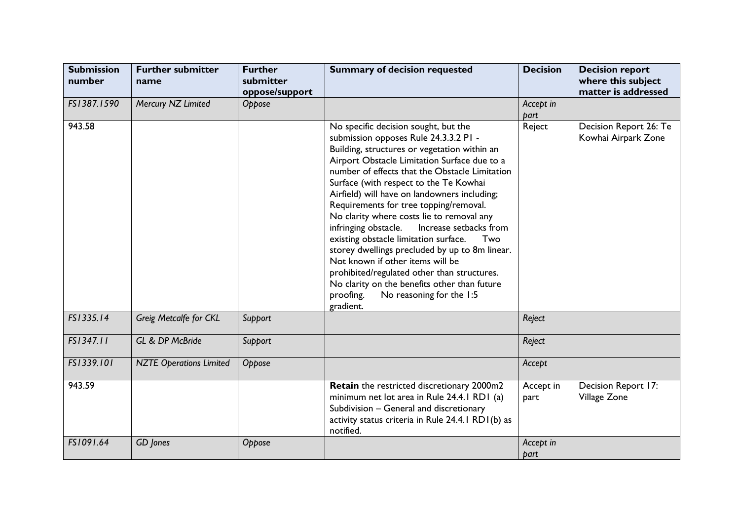| <b>Submission</b><br>number | <b>Further submitter</b><br>name | <b>Further</b><br>submitter<br>oppose/support | <b>Summary of decision requested</b>                                                                                                                                                                                                                                                                                                                                                                                                                                                                                                                                                                                                                                                                                                                          | <b>Decision</b>   | <b>Decision report</b><br>where this subject<br>matter is addressed |
|-----------------------------|----------------------------------|-----------------------------------------------|---------------------------------------------------------------------------------------------------------------------------------------------------------------------------------------------------------------------------------------------------------------------------------------------------------------------------------------------------------------------------------------------------------------------------------------------------------------------------------------------------------------------------------------------------------------------------------------------------------------------------------------------------------------------------------------------------------------------------------------------------------------|-------------------|---------------------------------------------------------------------|
| FS1387.1590                 | Mercury NZ Limited               | Oppose                                        |                                                                                                                                                                                                                                                                                                                                                                                                                                                                                                                                                                                                                                                                                                                                                               | Accept in<br>part |                                                                     |
| 943.58                      |                                  |                                               | No specific decision sought, but the<br>submission opposes Rule 24.3.3.2 PI -<br>Building, structures or vegetation within an<br>Airport Obstacle Limitation Surface due to a<br>number of effects that the Obstacle Limitation<br>Surface (with respect to the Te Kowhai<br>Airfield) will have on landowners including;<br>Requirements for tree topping/removal.<br>No clarity where costs lie to removal any<br>infringing obstacle.<br>Increase setbacks from<br>existing obstacle limitation surface.<br>Two<br>storey dwellings precluded by up to 8m linear.<br>Not known if other items will be<br>prohibited/regulated other than structures.<br>No clarity on the benefits other than future<br>proofing.<br>No reasoning for the 1:5<br>gradient. | Reject            | Decision Report 26: Te<br>Kowhai Airpark Zone                       |
| FS1335.14                   | Greig Metcalfe for CKL           | Support                                       |                                                                                                                                                                                                                                                                                                                                                                                                                                                                                                                                                                                                                                                                                                                                                               | Reject            |                                                                     |
| FS1347.11                   | GL & DP McBride                  | Support                                       |                                                                                                                                                                                                                                                                                                                                                                                                                                                                                                                                                                                                                                                                                                                                                               | Reject            |                                                                     |
| FS1339.101                  | <b>NZTE Operations Limited</b>   | Oppose                                        |                                                                                                                                                                                                                                                                                                                                                                                                                                                                                                                                                                                                                                                                                                                                                               | Accept            |                                                                     |
| 943.59                      |                                  |                                               | Retain the restricted discretionary 2000m2<br>minimum net lot area in Rule 24.4.1 RD1 (a)<br>Subdivision - General and discretionary<br>activity status criteria in Rule 24.4.1 RD1(b) as<br>notified.                                                                                                                                                                                                                                                                                                                                                                                                                                                                                                                                                        | Accept in<br>part | Decision Report 17:<br>Village Zone                                 |
| FS1091.64                   | GD Jones                         | Oppose                                        |                                                                                                                                                                                                                                                                                                                                                                                                                                                                                                                                                                                                                                                                                                                                                               | Accept in<br>part |                                                                     |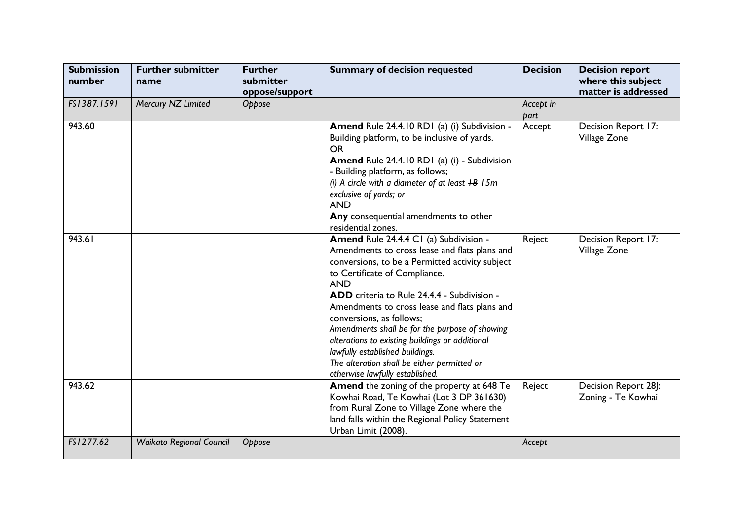| <b>Submission</b><br>number | <b>Further submitter</b><br>name | <b>Further</b><br>submitter<br>oppose/support | <b>Summary of decision requested</b>                                                                                                                                                                                                                                                                                                                                                                                                                                                                                                            | <b>Decision</b>   | <b>Decision report</b><br>where this subject<br>matter is addressed |
|-----------------------------|----------------------------------|-----------------------------------------------|-------------------------------------------------------------------------------------------------------------------------------------------------------------------------------------------------------------------------------------------------------------------------------------------------------------------------------------------------------------------------------------------------------------------------------------------------------------------------------------------------------------------------------------------------|-------------------|---------------------------------------------------------------------|
| FS1387.1591                 | Mercury NZ Limited               | Oppose                                        |                                                                                                                                                                                                                                                                                                                                                                                                                                                                                                                                                 | Accept in<br>part |                                                                     |
| 943.60                      |                                  |                                               | Amend Rule 24.4.10 RD1 (a) (i) Subdivision -<br>Building platform, to be inclusive of yards.<br><b>OR</b><br>Amend Rule 24.4.10 RD1 (a) (i) - Subdivision<br>- Building platform, as follows;<br>(i) A circle with a diameter of at least $+8$ $15m$<br>exclusive of yards; or<br><b>AND</b><br>Any consequential amendments to other<br>residential zones.                                                                                                                                                                                     | Accept            | Decision Report 17:<br>Village Zone                                 |
| 943.61                      |                                  |                                               | Amend Rule 24.4.4 C1 (a) Subdivision -<br>Amendments to cross lease and flats plans and<br>conversions, to be a Permitted activity subject<br>to Certificate of Compliance.<br><b>AND</b><br>ADD criteria to Rule 24.4.4 - Subdivision -<br>Amendments to cross lease and flats plans and<br>conversions, as follows;<br>Amendments shall be for the purpose of showing<br>alterations to existing buildings or additional<br>lawfully established buildings.<br>The alteration shall be either permitted or<br>otherwise lawfully established. | Reject            | Decision Report 17:<br>Village Zone                                 |
| 943.62                      |                                  |                                               | Amend the zoning of the property at 648 Te<br>Kowhai Road, Te Kowhai (Lot 3 DP 361630)<br>from Rural Zone to Village Zone where the<br>land falls within the Regional Policy Statement<br>Urban Limit (2008).                                                                                                                                                                                                                                                                                                                                   | Reject            | Decision Report 28]:<br>Zoning - Te Kowhai                          |
| FS1277.62                   | <b>Waikato Regional Council</b>  | Oppose                                        |                                                                                                                                                                                                                                                                                                                                                                                                                                                                                                                                                 | Accept            |                                                                     |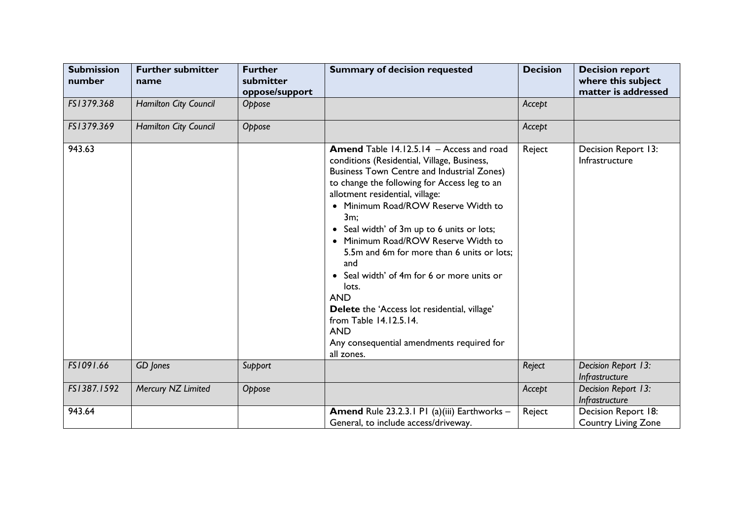| <b>Submission</b><br>number | <b>Further submitter</b><br>name | <b>Further</b><br>submitter<br>oppose/support | <b>Summary of decision requested</b>                                                                                                                                                                                                                                                                                                                                                                                                                                                                                                                                                                                                            | <b>Decision</b> | <b>Decision report</b><br>where this subject<br>matter is addressed |
|-----------------------------|----------------------------------|-----------------------------------------------|-------------------------------------------------------------------------------------------------------------------------------------------------------------------------------------------------------------------------------------------------------------------------------------------------------------------------------------------------------------------------------------------------------------------------------------------------------------------------------------------------------------------------------------------------------------------------------------------------------------------------------------------------|-----------------|---------------------------------------------------------------------|
| FS1379.368                  | Hamilton City Council            | Oppose                                        |                                                                                                                                                                                                                                                                                                                                                                                                                                                                                                                                                                                                                                                 | Accept          |                                                                     |
| FS1379.369                  | Hamilton City Council            | Oppose                                        |                                                                                                                                                                                                                                                                                                                                                                                                                                                                                                                                                                                                                                                 | Accept          |                                                                     |
| 943.63                      |                                  |                                               | Amend Table 14.12.5.14 - Access and road<br>conditions (Residential, Village, Business,<br><b>Business Town Centre and Industrial Zones)</b><br>to change the following for Access leg to an<br>allotment residential, village:<br>• Minimum Road/ROW Reserve Width to<br>3m;<br>• Seal width' of 3m up to 6 units or lots;<br>• Minimum Road/ROW Reserve Width to<br>5.5m and 6m for more than 6 units or lots;<br>and<br>• Seal width' of 4m for 6 or more units or<br>lots.<br><b>AND</b><br>Delete the 'Access lot residential, village'<br>from Table 14.12.5.14.<br><b>AND</b><br>Any consequential amendments required for<br>all zones. | Reject          | Decision Report 13:<br>Infrastructure                               |
| FS1091.66                   | GD Jones                         | Support                                       |                                                                                                                                                                                                                                                                                                                                                                                                                                                                                                                                                                                                                                                 | Reject          | Decision Report 13:<br>Infrastructure                               |
| FS1387.1592                 | Mercury NZ Limited               | Oppose                                        |                                                                                                                                                                                                                                                                                                                                                                                                                                                                                                                                                                                                                                                 | Accept          | Decision Report 13:<br>Infrastructure                               |
| 943.64                      |                                  |                                               | Amend Rule 23.2.3.1 P1 (a)(iii) Earthworks -<br>General, to include access/driveway.                                                                                                                                                                                                                                                                                                                                                                                                                                                                                                                                                            | Reject          | Decision Report 18:<br><b>Country Living Zone</b>                   |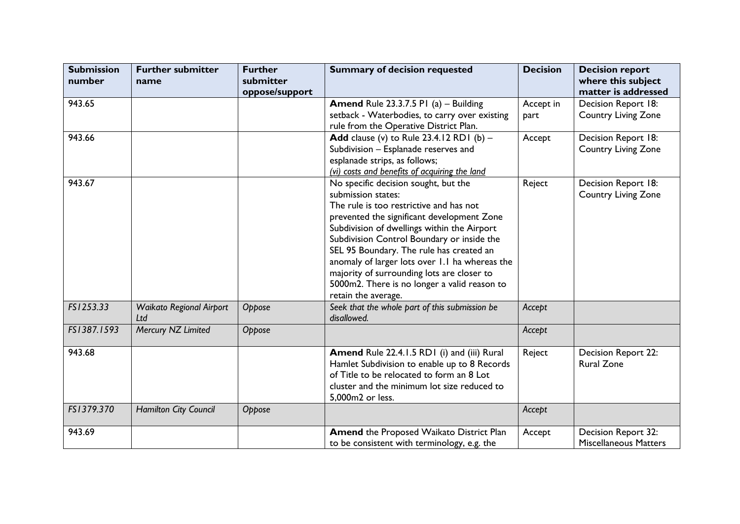| <b>Submission</b><br>number | <b>Further submitter</b><br>name | <b>Further</b><br>submitter | <b>Summary of decision requested</b>           | <b>Decision</b> | <b>Decision report</b><br>where this subject |
|-----------------------------|----------------------------------|-----------------------------|------------------------------------------------|-----------------|----------------------------------------------|
|                             |                                  | oppose/support              |                                                |                 | matter is addressed                          |
| 943.65                      |                                  |                             | <b>Amend Rule 23.3.7.5 P1 (a) - Building</b>   | Accept in       | Decision Report 18:                          |
|                             |                                  |                             | setback - Waterbodies, to carry over existing  | part            | <b>Country Living Zone</b>                   |
|                             |                                  |                             | rule from the Operative District Plan.         |                 |                                              |
| 943.66                      |                                  |                             | Add clause (v) to Rule $23.4.12$ RD1 (b) -     | Accept          | Decision Report 18:                          |
|                             |                                  |                             | Subdivision - Esplanade reserves and           |                 | <b>Country Living Zone</b>                   |
|                             |                                  |                             | esplanade strips, as follows;                  |                 |                                              |
|                             |                                  |                             | (vi) costs and benefits of acquiring the land  |                 |                                              |
| 943.67                      |                                  |                             | No specific decision sought, but the           | Reject          | Decision Report 18:                          |
|                             |                                  |                             | submission states:                             |                 | <b>Country Living Zone</b>                   |
|                             |                                  |                             | The rule is too restrictive and has not        |                 |                                              |
|                             |                                  |                             | prevented the significant development Zone     |                 |                                              |
|                             |                                  |                             | Subdivision of dwellings within the Airport    |                 |                                              |
|                             |                                  |                             | Subdivision Control Boundary or inside the     |                 |                                              |
|                             |                                  |                             | SEL 95 Boundary. The rule has created an       |                 |                                              |
|                             |                                  |                             | anomaly of larger lots over 1.1 ha whereas the |                 |                                              |
|                             |                                  |                             | majority of surrounding lots are closer to     |                 |                                              |
|                             |                                  |                             | 5000m2. There is no longer a valid reason to   |                 |                                              |
|                             |                                  |                             | retain the average.                            |                 |                                              |
| FS1253.33                   | <b>Waikato Regional Airport</b>  | Oppose                      | Seek that the whole part of this submission be | Accept          |                                              |
|                             | Ltd                              |                             | disallowed.                                    |                 |                                              |
| FS1387.1593                 | Mercury NZ Limited               | Oppose                      |                                                | Accept          |                                              |
| 943.68                      |                                  |                             | Amend Rule 22.4.1.5 RD1 (i) and (iii) Rural    | Reject          | Decision Report 22:                          |
|                             |                                  |                             | Hamlet Subdivision to enable up to 8 Records   |                 | <b>Rural Zone</b>                            |
|                             |                                  |                             | of Title to be relocated to form an 8 Lot      |                 |                                              |
|                             |                                  |                             | cluster and the minimum lot size reduced to    |                 |                                              |
|                             |                                  |                             | 5,000m2 or less.                               |                 |                                              |
| FS1379.370                  | Hamilton City Council            | Oppose                      |                                                | Accept          |                                              |
|                             |                                  |                             |                                                |                 |                                              |
| 943.69                      |                                  |                             | Amend the Proposed Waikato District Plan       | Accept          | Decision Report 32:                          |
|                             |                                  |                             | to be consistent with terminology, e.g. the    |                 | <b>Miscellaneous Matters</b>                 |